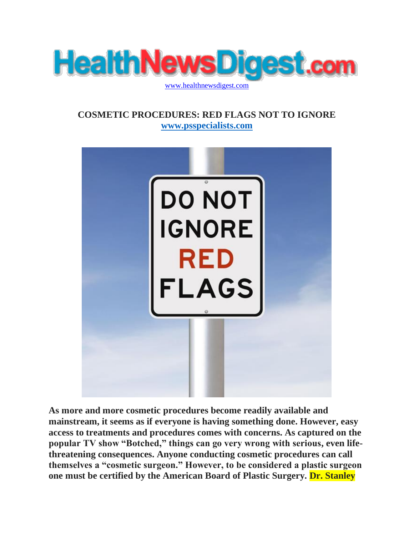

## **COSMETIC PROCEDURES: RED FLAGS NOT TO IGNORE [www.psspecialists.com](http://www.psspecialists.com/)**



**As more and more cosmetic procedures become readily available and mainstream, it seems as if everyone is having something done. However, easy access to treatments and procedures comes with concerns. As captured on the popular TV show "Botched," things can go very wrong with serious, even lifethreatening consequences. Anyone conducting cosmetic procedures can call themselves a "cosmetic surgeon." However, to be considered a plastic surgeon one must be certified by the American Board of Plastic Surgery. Dr. Stanley**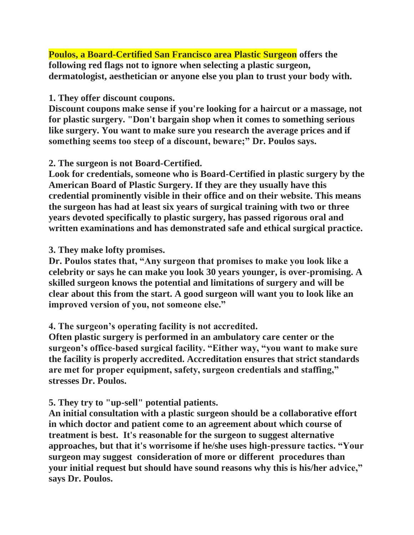**Poulos, a Board-Certified San Francisco area Plastic Surgeon offers the following red flags not to ignore when selecting a plastic surgeon, dermatologist, aesthetician or anyone else you plan to trust your body with.**

#### **1. They offer discount coupons.**

**Discount coupons make sense if you're looking for a haircut or a massage, not for plastic surgery. "Don't bargain shop when it comes to something serious like surgery. You want to make sure you research the average prices and if something seems too steep of a discount, beware;" Dr. Poulos says.**

### **2. The surgeon is not Board-Certified.**

**Look for credentials, someone who is Board-Certified in plastic surgery by the American Board of Plastic Surgery. If they are they usually have this credential prominently visible in their office and on their website. This means the surgeon has had at least six years of surgical training with two or three years devoted specifically to plastic surgery, has passed rigorous oral and written examinations and has demonstrated safe and ethical surgical practice.**

### **3. They make lofty promises.**

**Dr. Poulos states that, "Any surgeon that promises to make you look like a celebrity or says he can make you look 30 years younger, is over-promising. A skilled surgeon knows the potential and limitations of surgery and will be clear about this from the start. A good surgeon will want you to look like an improved version of you, not someone else."**

### **4. The surgeon's operating facility is not accredited.**

**Often plastic surgery is performed in an ambulatory care center or the surgeon's office-based surgical facility. "Either way, "you want to make sure the facility is properly accredited. Accreditation ensures that strict standards are met for proper equipment, safety, surgeon credentials and staffing," stresses Dr. Poulos.**

### **5. They try to "up-sell" potential patients.**

**An initial consultation with a plastic surgeon should be a collaborative effort in which doctor and patient come to an agreement about which course of treatment is best. It's reasonable for the surgeon to suggest alternative approaches, but that it's worrisome if he/she uses high-pressure tactics. "Your surgeon may suggest consideration of more or different procedures than your initial request but should have sound reasons why this is his/her advice," says Dr. Poulos.**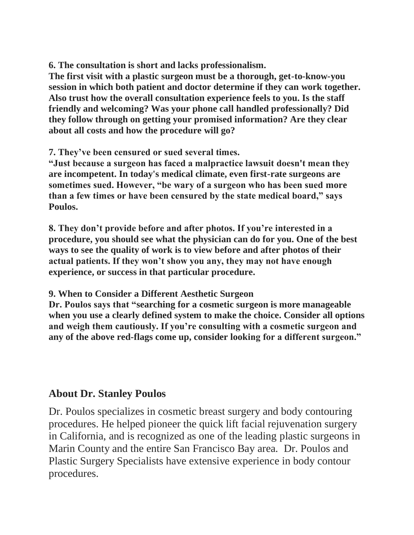**6. The consultation is short and lacks professionalism.**

**The first visit with a plastic surgeon must be a thorough, get-to-know-you session in which both patient and doctor determine if they can work together. Also trust how the overall consultation experience feels to you. Is the staff friendly and welcoming? Was your phone call handled professionally? Did they follow through on getting your promised information? Are they clear about all costs and how the procedure will go?**

**7. They've been censured or sued several times.**

**"Just because a surgeon has faced a malpractice lawsuit doesn't mean they are incompetent. In today's medical climate, even first-rate surgeons are sometimes sued. However, "be wary of a surgeon who has been sued more than a few times or have been censured by the state medical board," says Poulos.**

**8. They don't provide before and after photos. If you're interested in a procedure, you should see what the physician can do for you. One of the best ways to see the quality of work is to view before and after photos of their actual patients. If they won't show you any, they may not have enough experience, or success in that particular procedure.**

**9. When to Consider a Different Aesthetic Surgeon**

**Dr. Poulos says that "searching for a cosmetic surgeon is more manageable when you use a clearly defined system to make the choice. Consider all options and weigh them cautiously. If you're consulting with a cosmetic surgeon and any of the above red-flags come up, consider looking for a different surgeon."**

# **About Dr. Stanley Poulos**

Dr. Poulos specializes in cosmetic breast surgery and body contouring procedures. He helped pioneer the quick lift facial rejuvenation surgery in California, and is recognized as one of the leading plastic surgeons in Marin County and the entire San Francisco Bay area. Dr. Poulos and Plastic Surgery Specialists have extensive experience in body contour procedures.